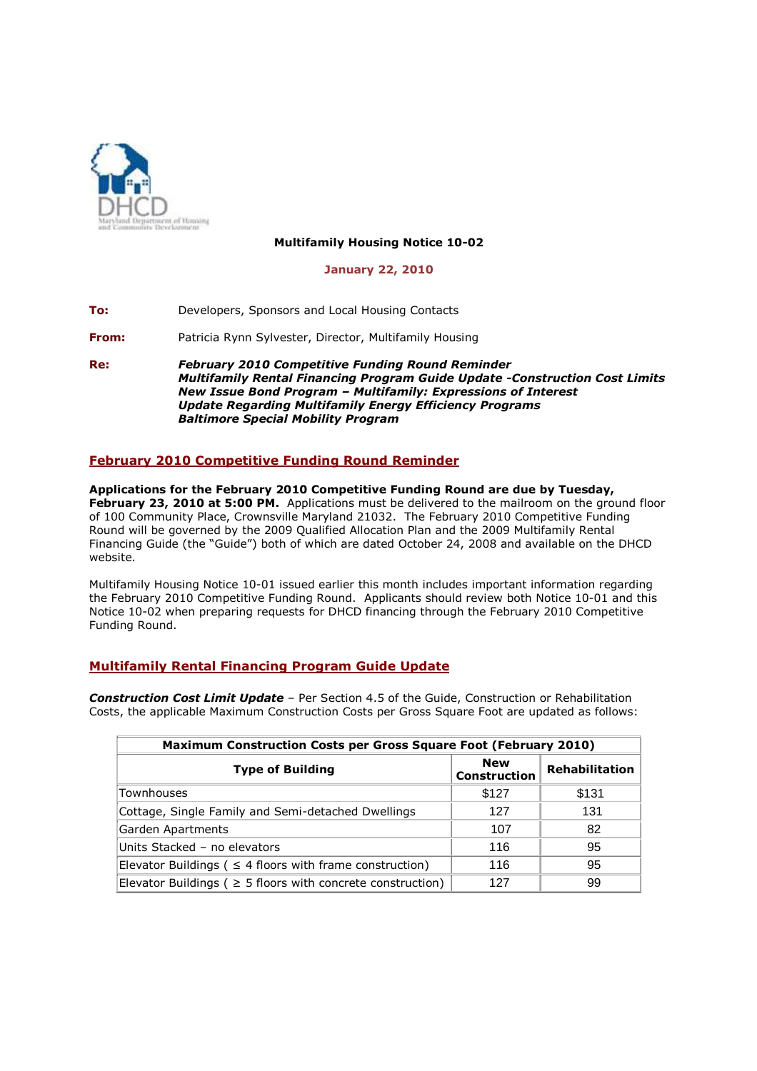

## **Multifamily Housing Notice 10-02**

### **January 22, 2010**

**To:** Developers, Sponsors and Local Housing Contacts

**From:** Patricia Rynn Sylvester, Director, Multifamily Housing

**Re:** *February 2010 Competitive Funding Round Reminder Multifamily Rental Financing Program Guide Update -Construction Cost Limits New Issue Bond Program – Multifamily: Expressions of Interest Update Regarding Multifamily Energy Efficiency Programs Baltimore Special Mobility Program*

# **February 2010 Competitive Funding Round Reminder**

**Applications for the February 2010 Competitive Funding Round are due by Tuesday, February 23, 2010 at 5:00 PM.** Applications must be delivered to the mailroom on the ground floor of 100 Community Place, Crownsville Maryland 21032. The February 2010 Competitive Funding Round will be governed by the 2009 Qualified Allocation Plan and the 2009 Multifamily Rental Financing Guide (the "Guide") both of which are dated October 24, 2008 and available on the DHCD website.

Multifamily Housing Notice 10-01 issued earlier this month includes important information regarding the February 2010 Competitive Funding Round. Applicants should review both Notice 10-01 and this Notice 10-02 when preparing requests for DHCD financing through the February 2010 Competitive Funding Round.

# **Multifamily Rental Financing Program Guide Update**

*Construction Cost Limit Update* – Per Section 4.5 of the Guide, Construction or Rehabilitation Costs, the applicable Maximum Construction Costs per Gross Square Foot are updated as follows:

| <b>Maximum Construction Costs per Gross Square Foot (February 2010)</b> |                                   |                |
|-------------------------------------------------------------------------|-----------------------------------|----------------|
| <b>Type of Building</b>                                                 | <b>New</b><br><b>Construction</b> | Rehabilitation |
| Townhouses                                                              | \$127                             | \$131          |
| Cottage, Single Family and Semi-detached Dwellings                      | 127                               | 131            |
| Garden Apartments                                                       | 107                               | 82             |
| Units Stacked - no elevators                                            | 116                               | 95             |
| Elevator Buildings ( $\leq$ 4 floors with frame construction)           | 116                               | 95             |
| Elevator Buildings ( $\geq$ 5 floors with concrete construction)        | 127                               | 99             |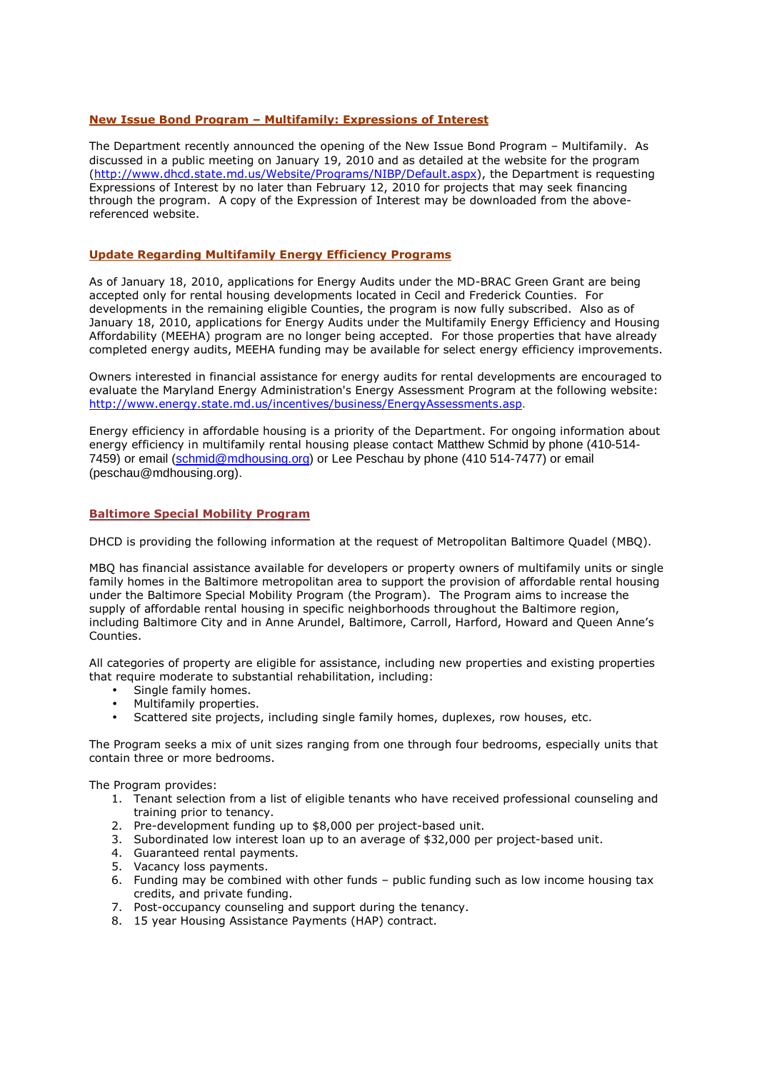### **New Issue Bond Program – Multifamily: Expressions of Interest**

The Department recently announced the opening of the New Issue Bond Program – Multifamily. As discussed in a public meeting on January 19, 2010 and as detailed at the website for the program (http://www.dhcd.state.md.us/Website/Programs/NIBP/Default.aspx), the Department is requesting Expressions of Interest by no later than February 12, 2010 for projects that may seek financing through the program. A copy of the Expression of Interest may be downloaded from the abovereferenced website.

### **Update Regarding Multifamily Energy Efficiency Programs**

As of January 18, 2010, applications for Energy Audits under the MD-BRAC Green Grant are being accepted only for rental housing developments located in Cecil and Frederick Counties. For developments in the remaining eligible Counties, the program is now fully subscribed. Also as of January 18, 2010, applications for Energy Audits under the Multifamily Energy Efficiency and Housing Affordability (MEEHA) program are no longer being accepted. For those properties that have already completed energy audits, MEEHA funding may be available for select energy efficiency improvements.

Owners interested in financial assistance for energy audits for rental developments are encouraged to evaluate the Maryland Energy Administration's Energy Assessment Program at the following website: http://www.energy.state.md.us/incentives/business/EnergyAssessments.asp.

Energy efficiency in affordable housing is a priority of the Department. For ongoing information about energy efficiency in multifamily rental housing please contact Matthew Schmid by phone (410-514- 7459) or email (schmid@mdhousing.org) or Lee Peschau by phone (410 514-7477) or email (peschau@mdhousing.org).

#### **Baltimore Special Mobility Program**

DHCD is providing the following information at the request of Metropolitan Baltimore Quadel (MBQ).

MBQ has financial assistance available for developers or property owners of multifamily units or single family homes in the Baltimore metropolitan area to support the provision of affordable rental housing under the Baltimore Special Mobility Program (the Program). The Program aims to increase the supply of affordable rental housing in specific neighborhoods throughout the Baltimore region, including Baltimore City and in Anne Arundel, Baltimore, Carroll, Harford, Howard and Queen Anne's Counties.

All categories of property are eligible for assistance, including new properties and existing properties that require moderate to substantial rehabilitation, including:

- Single family homes.
- Multifamily properties.
- Scattered site projects, including single family homes, duplexes, row houses, etc.

The Program seeks a mix of unit sizes ranging from one through four bedrooms, especially units that contain three or more bedrooms.

The Program provides:

- 1. Tenant selection from a list of eligible tenants who have received professional counseling and training prior to tenancy.
- 2. Pre-development funding up to \$8,000 per project-based unit.
- 3. Subordinated low interest loan up to an average of \$32,000 per project-based unit.
- 4. Guaranteed rental payments.
- 5. Vacancy loss payments.
- 6. Funding may be combined with other funds public funding such as low income housing tax credits, and private funding.
- 7. Post-occupancy counseling and support during the tenancy.
- 8. 15 year Housing Assistance Payments (HAP) contract.